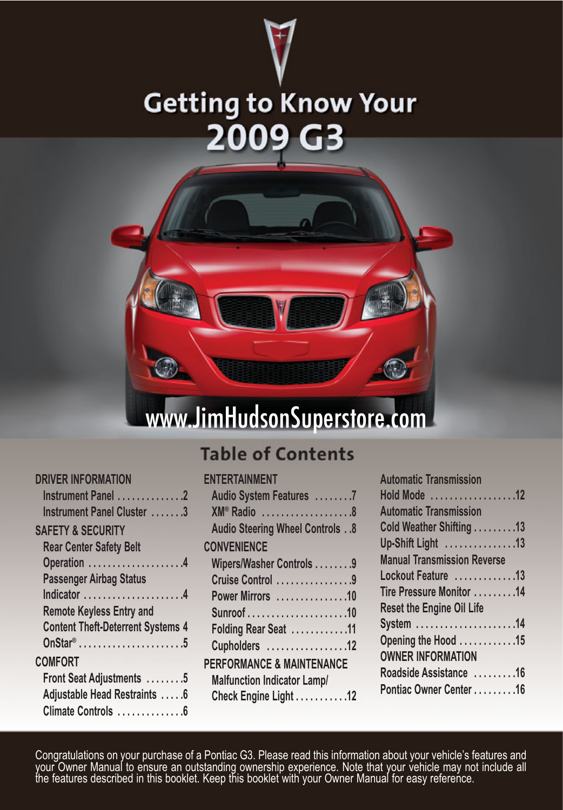



# www.JimHudsonSuperstore.com

## **Table of Contents**

**ENTERTAINMENT**

| <b>DRIVER INFORMATION</b>                |  |
|------------------------------------------|--|
| Instrument Panel 2                       |  |
| Instrument Panel Cluster 3               |  |
| <b>SAFETY &amp; SECURITY</b>             |  |
| <b>Rear Center Safety Belt</b>           |  |
| Operation 4                              |  |
| <b>Passenger Airbag Status</b>           |  |
| Indicator 4                              |  |
| <b>Remote Keyless Entry and</b>          |  |
| <b>Content Theft-Deterrent Systems 4</b> |  |
| $OnStar^{\circ}$ 5                       |  |
| <b>COMFORT</b>                           |  |
| Front Seat Adjustments 5                 |  |
| Adjustable Head Restraints 6             |  |
| Climate Controls 6                       |  |
|                                          |  |

| Audio System Features 7              |
|--------------------------------------|
| $XM^{\circ}$ Radio 8                 |
| Audio Steering Wheel Controls 8      |
| <b>CONVENIENCE</b>                   |
| Wipers/Washer Controls 9             |
| Cruise Control 9                     |
| Power Mirrors 10                     |
|                                      |
| Folding Rear Seat 11                 |
| Cupholders 12                        |
| <b>PERFORMANCE &amp; MAINTENANCE</b> |
| <b>Malfunction Indicator Lamp/</b>   |
| Check Engine Light 12                |
|                                      |

| <b>Automatic Transmission</b>      |  |
|------------------------------------|--|
| Hold Mode 12                       |  |
| <b>Automatic Transmission</b>      |  |
| Cold Weather Shifting 13           |  |
| Up-Shift Light 13                  |  |
| <b>Manual Transmission Reverse</b> |  |
| Lockout Feature 13                 |  |
| Tire Pressure Monitor 14           |  |
| <b>Reset the Engine Oil Life</b>   |  |
| System 14                          |  |
| Opening the Hood 15                |  |
| <b>OWNER INFORMATION</b>           |  |
| Roadside Assistance 16             |  |
| Pontiac Owner Center 16            |  |

Congratulations on your purchase of a Pontiac G3. Please read this information about your vehicle's features and<br>your Owner Manual to ensure an outstanding ownership experience. Note that your vehicle may not include all<br>t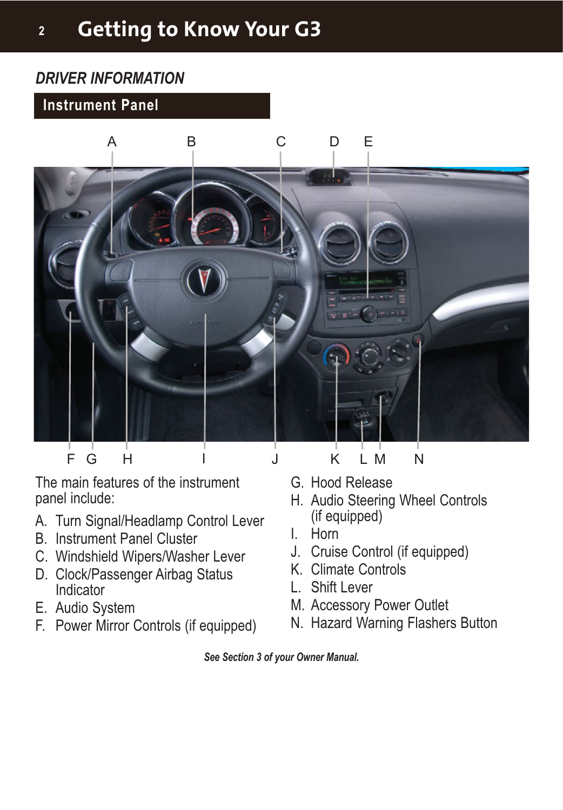## **<sup>2</sup> Getting to Know Your G3**

## *DRIVER INFORMATION*

#### **Instrument Panel**



The main features of the instrument panel include:

- A. Turn Signal/Headlamp Control Lever
- B. Instrument Panel Cluster
- C. Windshield Wipers/Washer Lever
- D. Clock/Passenger Airbag Status Indicator
- E. Audio System
- F. Power Mirror Controls (if equipped)
- G. Hood Release
- H. Audio Steering Wheel Controls (if equipped)
- I. Horn
- J. Cruise Control (if equipped)
- K. Climate Controls
- L. Shift Lever
- M. Accessory Power Outlet
- N. Hazard Warning Flashers Button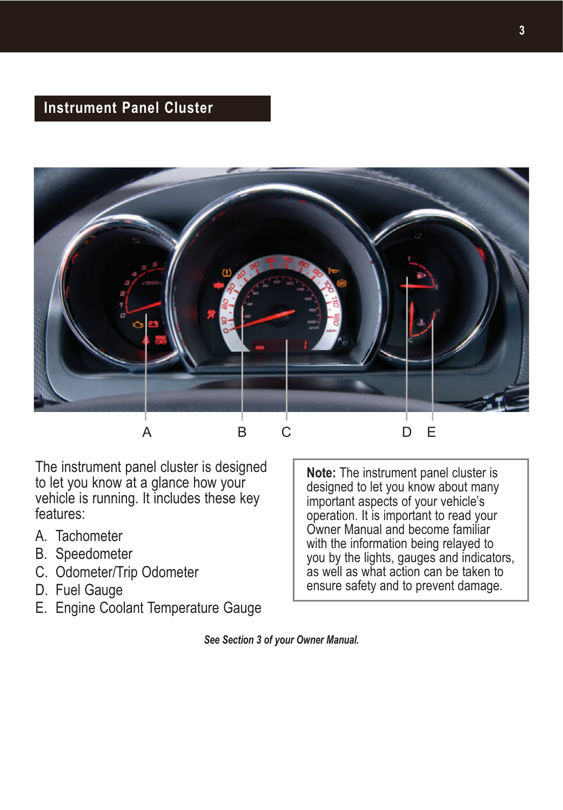### **Instrument Panel Cluster**



The instrument panel cluster is designed to let you know at a glance how your vehicle is running. It includes these key features:

- A. Tachometer
- B. Speedometer
- C. Odometer/Trip Odometer
- D. Fuel Gauge
- E. Engine Coolant Temperature Gauge

**Note:** The instrument panel cluster is designed to let you know about many important aspects of your vehicle's operation. It is important to read your Owner Manual and become familiar with the information being relayed to you by the lights, gauges and indicators, as well as what action can be taken to ensure safety and to prevent damage.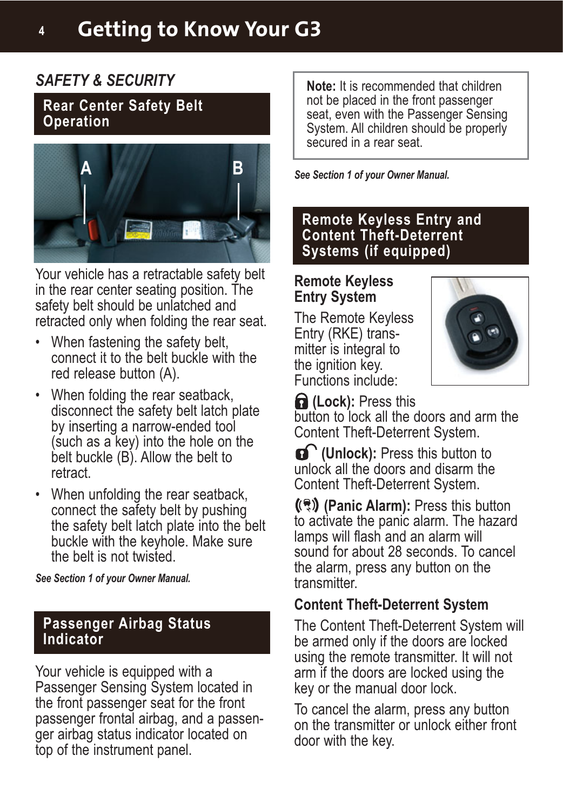#### *SAFETY & SECURITY*

**Rear Center Safety Belt Operation**



Your vehicle has a retractable safety belt in the rear center seating position. The safety belt should be unlatched and retracted only when folding the rear seat.

- When fastening the safety belt, connect it to the belt buckle with the red release button (A).
- When folding the rear seatback, disconnect the safety belt latch plate by inserting a narrow-ended tool (such as a key) into the hole on the belt buckle (B). Allow the belt to retract.
- When unfolding the rear seatback, connect the safety belt by pushing the safety belt latch plate into the belt buckle with the keyhole. Make sure the belt is not twisted.

*See Section 1 of your Owner Manual.*

#### **Passenger Airbag Status Indicator**

Your vehicle is equipped with a Passenger Sensing System located in the front passenger seat for the front passenger frontal airbag, and a passenger airbag status indicator located on top of the instrument panel.

**Note:** It is recommended that children not be placed in the front passenger seat, even with the Passenger Sensing System. All children should be properly secured in a rear seat.

**A B** *See Section 1 of your Owner Manual.*

**Remote Keyless Entry and Content Theft-Deterrent Systems (if equipped)**

#### **Remote Keyless Entry System**

The Remote Keyless Entry (RKE) transmitter is integral to the ignition key. Functions include:



**fa** (Lock): Press this

button to lock all the doors and arm the Content Theft-Deterrent System.

**(Unlock):** Press this button to unlock all the doors and disarm the Content Theft-Deterrent System.

**(2)** (Panic Alarm): Press this button to activate the panic alarm. The hazard lamps will flash and an alarm will sound for about 28 seconds. To cancel the alarm, press any button on the transmitter.

## **Content Theft-Deterrent System**

The Content Theft-Deterrent System will be armed only if the doors are locked using the remote transmitter. It will not arm if the doors are locked using the key or the manual door lock.

To cancel the alarm, press any button on the transmitter or unlock either front door with the key.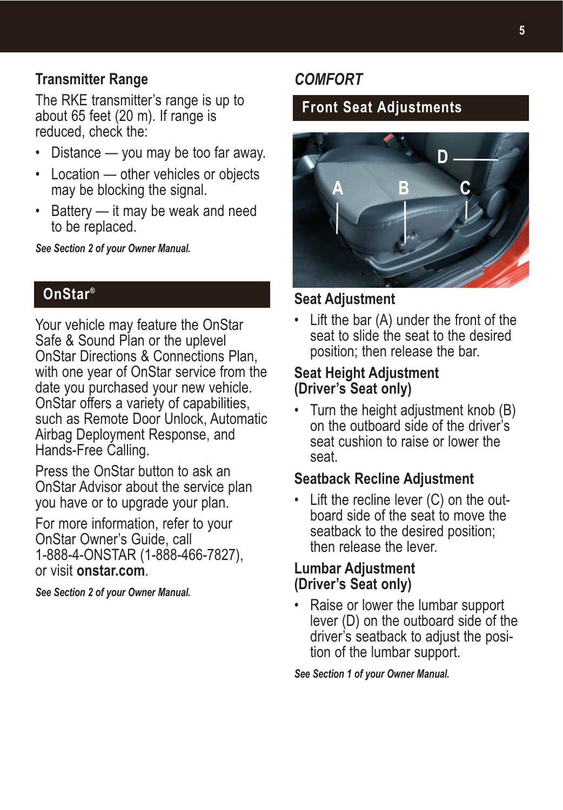#### **Transmitter Range**

The RKE transmitter's range is up to about 65 feet (20 m). If range is reduced, check the:

- Distance you may be too far away.
- Location other vehicles or objects may be blocking the signal.
- Battery it may be weak and need to be replaced.

*See Section 2 of your Owner Manual.*

## **OnStar®**

Your vehicle may feature the OnStar Safe & Sound Plan or the uplevel OnStar Directions & Connections Plan, with one year of OnStar service from the date you purchased your new vehicle. OnStar offers a variety of capabilities, such as Remote Door Unlock, Automatic Airbag Deployment Response, and Hands-Free Calling.

Press the OnStar button to ask an OnStar Advisor about the service plan you have or to upgrade your plan.

For more information, refer to your OnStar Owner's Guide, call 1-888-4-ONSTAR (1-888-466-7827), or visit **onstar.com**.

*See Section 2 of your Owner Manual.*

## *COMFORT*

## **Front Seat Adjustments**



#### **Seat Adjustment**

• Lift the bar (A) under the front of the seat to slide the seat to the desired position; then release the bar.

#### **Seat Height Adjustment (Driver's Seat only)**

• Turn the height adjustment knob (B) on the outboard side of the driver's seat cushion to raise or lower the seat.

#### **Seatback Recline Adjustment**

• Lift the recline lever (C) on the outboard side of the seat to move the seatback to the desired position; then release the lever.

#### **Lumbar Adjustment (Driver's Seat only)**

• Raise or lower the lumbar support lever (D) on the outboard side of the driver's seatback to adjust the position of the lumbar support.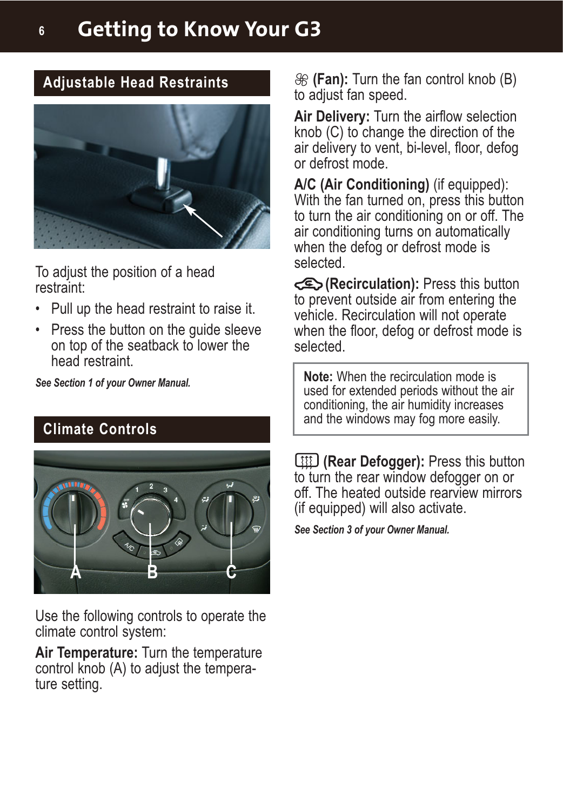## **<sup>6</sup> Getting to Know Your G3**

#### **Adjustable Head Restraints**



To adjust the position of a head restraint:

- Pull up the head restraint to raise it.
- Press the button on the guide sleeve on top of the seatback to lower the head restraint.

*See Section 1 of your Owner Manual.*

#### **Climate Controls**



Use the following controls to operate the climate control system:

**Air Temperature:** Turn the temperature control knob (A) to adjust the temperature setting.

**(Fan):** Turn the fan control knob (B) to adjust fan speed.

**Air Delivery:** Turn the airflow selection knob (C) to change the direction of the air delivery to vent, bi-level, floor, defog or defrost mode.

**A/C (Air Conditioning)** (if equipped): With the fan turned on, press this button to turn the air conditioning on or off. The air conditioning turns on automatically when the defog or defrost mode is selected.

**(E)** (**Recirculation**): Press this button to prevent outside air from entering the vehicle. Recirculation will not operate when the floor, defog or defrost mode is selected.

**Note:** When the recirculation mode is used for extended periods without the air conditioning, the air humidity increases and the windows may fog more easily.

**(Rear Defogger):** Press this button to turn the rear window defogger on or off. The heated outside rearview mirrors (if equipped) will also activate.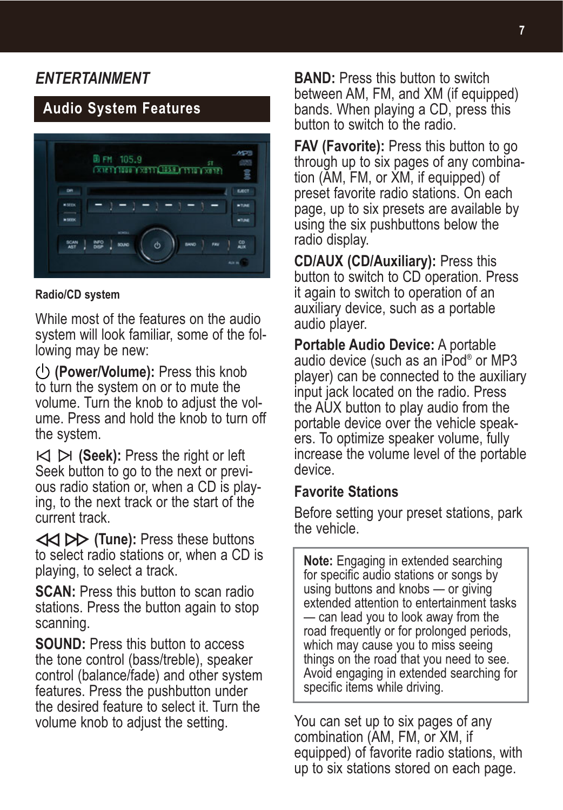## *ENTERTAINMENT*

## **Audio System Features**



#### **Radio/CD system**

While most of the features on the audio system will look familiar, some of the following may be new:

**(Power/Volume):** Press this knob to turn the system on or to mute the volume. Turn the knob to adjust the volume. Press and hold the knob to turn off the system.

 $\bowtie$   $\bowtie$  (**Seek**): Press the right or left Seek button to go to the next or previous radio station or, when a CD is playing, to the next track or the start of the current track.

**(Tune):** Press these buttons to select radio stations or, when a CD is playing, to select a track.

**SCAN:** Press this button to scan radio stations. Press the button again to stop scanning.

**SOUND:** Press this button to access the tone control (bass/treble), speaker control (balance/fade) and other system features. Press the pushbutton under the desired feature to select it. Turn the volume knob to adjust the setting.

**BAND:** Press this button to switch between AM, FM, and XM (if equipped) bands. When playing a CD, press this button to switch to the radio.

**FAV (Favorite):** Press this button to go through up to six pages of any combination (AM, FM, or XM, if equipped) of preset favorite radio stations. On each page, up to six presets are available by using the six pushbuttons below the radio display.

**CD/AUX (CD/Auxiliary):** Press this button to switch to CD operation. Press it again to switch to operation of an auxiliary device, such as a portable audio player.

**Portable Audio Device:** A portable audio device (such as an iPod® or MP3 player) can be connected to the auxiliary input jack located on the radio. Press the AUX button to play audio from the portable device over the vehicle speakers. To optimize speaker volume, fully increase the volume level of the portable device.

#### **Favorite Stations**

Before setting your preset stations, park the vehicle.

**Note:** Engaging in extended searching for specific audio stations or songs by using buttons and knobs — or giving extended attention to entertainment tasks — can lead you to look away from the road frequently or for prolonged periods, which may cause you to miss seeing things on the road that you need to see. Avoid engaging in extended searching for specific items while driving.

You can set up to six pages of any combination (AM, FM, or XM, if equipped) of favorite radio stations, with up to six stations stored on each page.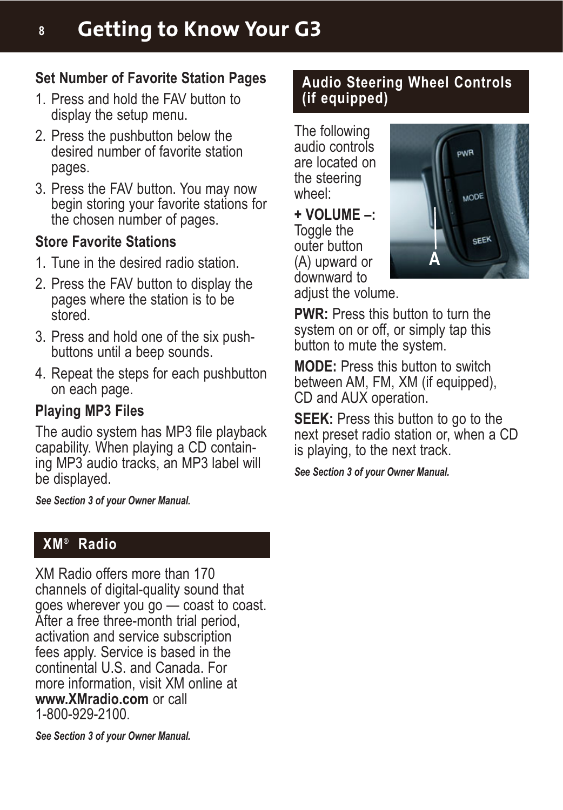## **Set Number of Favorite Station Pages**

- 1. Press and hold the FAV button to display the setup menu.
- 2. Press the pushbutton below the desired number of favorite station pages.
- 3. Press the FAV button. You may now begin storing your favorite stations for the chosen number of pages.

## **Store Favorite Stations**

- 1. Tune in the desired radio station.
- 2. Press the FAV button to display the pages where the station is to be stored.
- 3. Press and hold one of the six pushbuttons until a beep sounds.
- 4. Repeat the steps for each pushbutton on each page.

## **Playing MP3 Files**

The audio system has MP3 file playback capability. When playing a CD containing MP3 audio tracks, an MP3 label will be displayed.

*See Section 3 of your Owner Manual.*

## **XM® Radio**

XM Radio offers more than 170 channels of digital-quality sound that goes wherever you go — coast to coast. After a free three-month trial period, activation and service subscription fees apply. Service is based in the continental U.S. and Canada. For more information, visit XM online at **www.XMradio.com** or call 1-800-929-2100.

*See Section 3 of your Owner Manual.*

#### **Audio Steering Wheel Controls (if equipped)**

The following audio controls are located on the steering wheel:

**+ VOLUME –:** Toggle the outer button (A) upward or downward to

adiust the volume.



**PWR:** Press this button to turn the system on or off, or simply tap this button to mute the system.

**MODE:** Press this button to switch between AM, FM, XM (if equipped), CD and AUX operation.

**SEEK:** Press this button to go to the next preset radio station or, when a CD is playing, to the next track.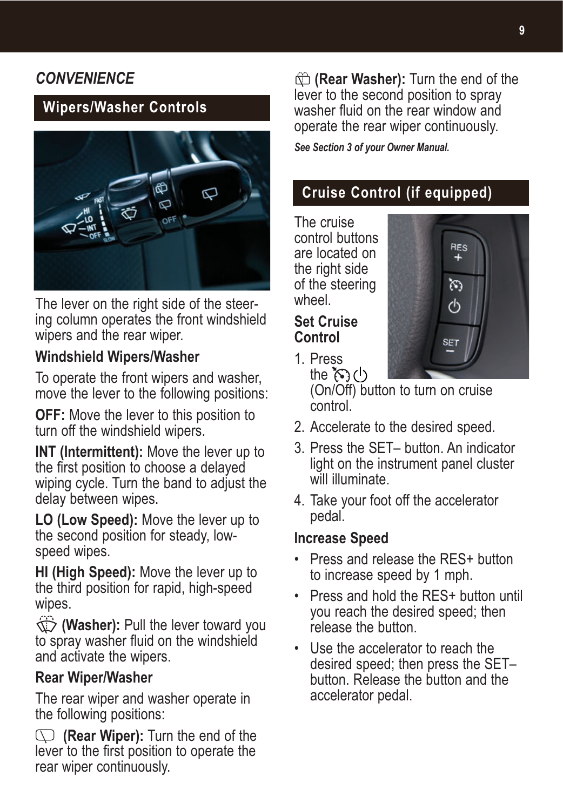## *CONVENIENCE*

## **Wipers/Washer Controls**



The lever on the right side of the steering column operates the front windshield wipers and the rear wiper.

#### **Windshield Wipers/Washer**

To operate the front wipers and washer, move the lever to the following positions:

**OFF:** Move the lever to this position to turn off the windshield wipers.

**INT (Intermittent):** Move the lever up to the first position to choose a delayed wiping cycle. Turn the band to adjust the delay between wipes.

**LO (Low Speed):** Move the lever up to the second position for steady, lowspeed wipes.

**HI (High Speed):** Move the lever up to the third position for rapid, high-speed wipes.

**(Washer):** Pull the lever toward you to spray washer fluid on the windshield and activate the wipers.

#### **Rear Wiper/Washer**

The rear wiper and washer operate in the following positions:

**(Rear Wiper):** Turn the end of the lever to the first position to operate the rear wiper continuously.

**(Rear Washer):** Turn the end of the lever to the second position to spray washer fluid on the rear window and operate the rear wiper continuously.

*See Section 3 of your Owner Manual.*

## **Cruise Control (if equipped)**

RES  $\ddot{}$ ন্ত ረካ

**SET** 

The cruise control buttons are located on the right side of the steering wheel.

#### **Set Cruise Control**

1. Press

the  $\mathcal{E}(1)$ (On/Off) button to turn on cruise control.

- 2. Accelerate to the desired speed.
- 3. Press the SET– button. An indicator light on the instrument panel cluster will illuminate.
- 4. Take your foot off the accelerator pedal.

#### **Increase Speed**

- Press and release the RFS+ button to increase speed by 1 mph.
- Press and hold the RES+ button until you reach the desired speed; then release the button
- Use the accelerator to reach the desired speed; then press the SET– button. Release the button and the accelerator pedal.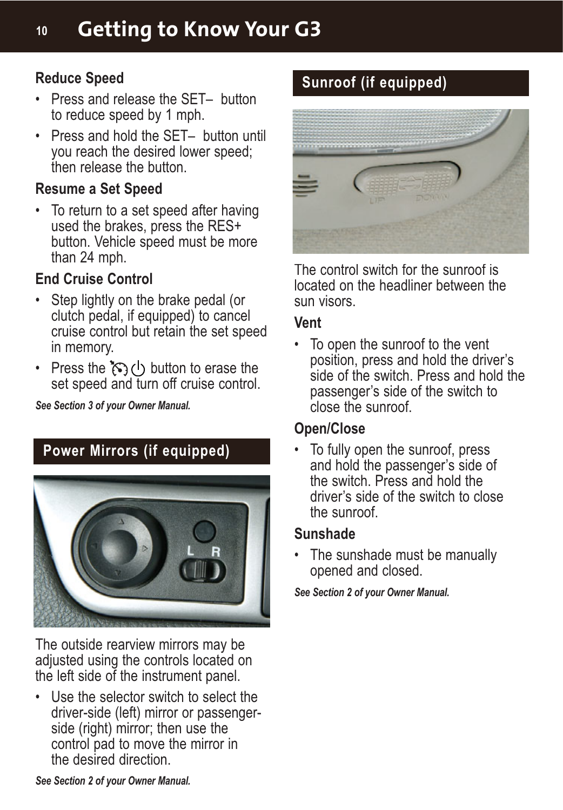#### **Reduce Speed**

- Press and release the SET– button to reduce speed by 1 mph.
- Press and hold the SET– button until you reach the desired lower speed; then release the button.

#### **Resume a Set Speed**

• To return to a set speed after having used the brakes, press the RES+ button. Vehicle speed must be more than 24 mph.

#### **End Cruise Control**

- Step lightly on the brake pedal (or clutch pedal, if equipped) to cancel cruise control but retain the set speed in memory.
- Press the  $\mathcal{L}$  (button to erase the set speed and turn off cruise control.

*See Section 3 of your Owner Manual.*

## **Power Mirrors (if equipped)**



The outside rearview mirrors may be adjusted using the controls located on the left side of the instrument panel.

• Use the selector switch to select the driver-side (left) mirror or passengerside (right) mirror; then use the control pad to move the mirror in the desired direction.

## **Sunroof (if equipped)**



The control switch for the sunroof is located on the headliner between the sun visors.

#### **Vent**

• To open the sunroof to the vent position, press and hold the driver's side of the switch. Press and hold the passenger's side of the switch to close the sunroof.

#### **Open/Close**

• To fully open the sunroof, press and hold the passenger's side of the switch. Press and hold the driver's side of the switch to close the sunroof.

#### **Sunshade**

• The sunshade must be manually opened and closed.

*See Section 2 of your Owner Manual.*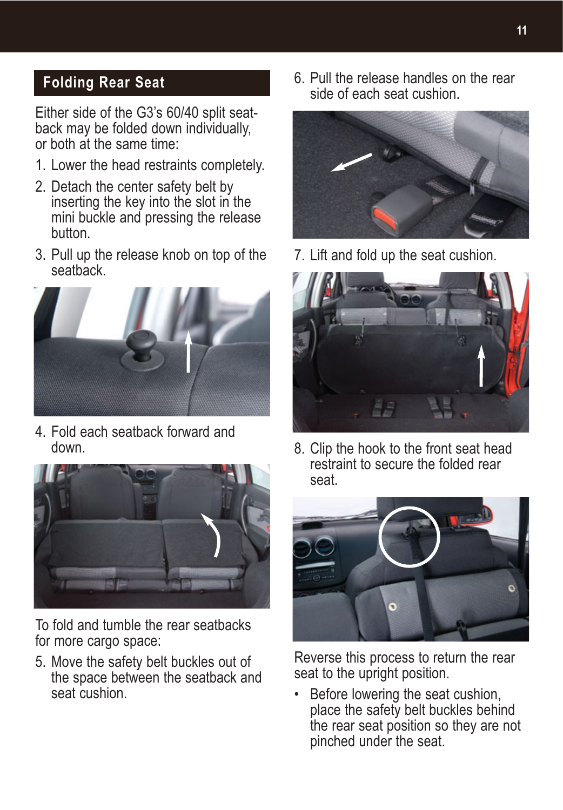## **Folding Rear Seat**

Either side of the G3's 60/40 split seatback may be folded down individually, or both at the same time:

- 1. Lower the head restraints completely.
- 2. Detach the center safety belt by inserting the key into the slot in the mini buckle and pressing the release button.
- 3. Pull up the release knob on top of the seatback.



4. Fold each seatback forward and down.



To fold and tumble the rear seatbacks for more cargo space:

5. Move the safety belt buckles out of the space between the seatback and seat cushion.

6. Pull the release handles on the rear side of each seat cushion.



7. Lift and fold up the seat cushion.



8. Clip the hook to the front seat head restraint to secure the folded rear seat.



Reverse this process to return the rear seat to the upright position.

• Before lowering the seat cushion, place the safety belt buckles behind the rear seat position so they are not pinched under the seat.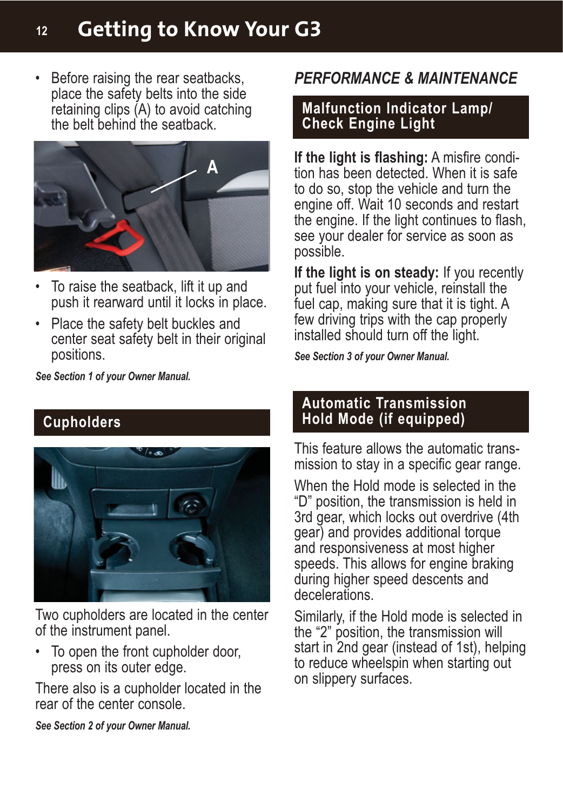## **<sup>12</sup> Getting to Know Your G3**

place the safety belts into the side retaining clips (A) to avoid catching the belt behind the seatback.



- To raise the seatback, lift it up and push it rearward until it locks in place.
- Place the safety belt buckles and center seat safety belt in their original positions.

*See Section 1 of your Owner Manual.*

## **Cupholders**



Two cupholders are located in the center of the instrument panel.

To open the front cupholder door, press on its outer edge.

There also is a cupholder located in the rear of the center console.

*See Section 2 of your Owner Manual.*

## • Before raising the rear seatbacks, *PERFORMANCE & MAINTENANCE*

#### **Malfunction Indicator Lamp/ Check Engine Light**

**If the light is flashing:** A misfire condition has been detected. When it is safe to do so, stop the vehicle and turn the engine off. Wait 10 seconds and restart the engine. If the light continues to flash, see your dealer for service as soon as possible.

**If the light is on steady:** If you recently put fuel into your vehicle, reinstall the fuel cap, making sure that it is tight. A few driving trips with the cap properly installed should turn off the light.

*See Section 3 of your Owner Manual.*

#### **Automatic Transmission Hold Mode (if equipped)**

This feature allows the automatic transmission to stay in a specific gear range.

When the Hold mode is selected in the "D" position, the transmission is held in 3rd gear, which locks out overdrive (4th gear) and provides additional torque and responsiveness at most higher speeds. This allows for engine braking during higher speed descents and decelerations.

Similarly, if the Hold mode is selected in the "2" position, the transmission will start in 2nd gear (instead of 1st), helping to reduce wheelspin when starting out on slippery surfaces.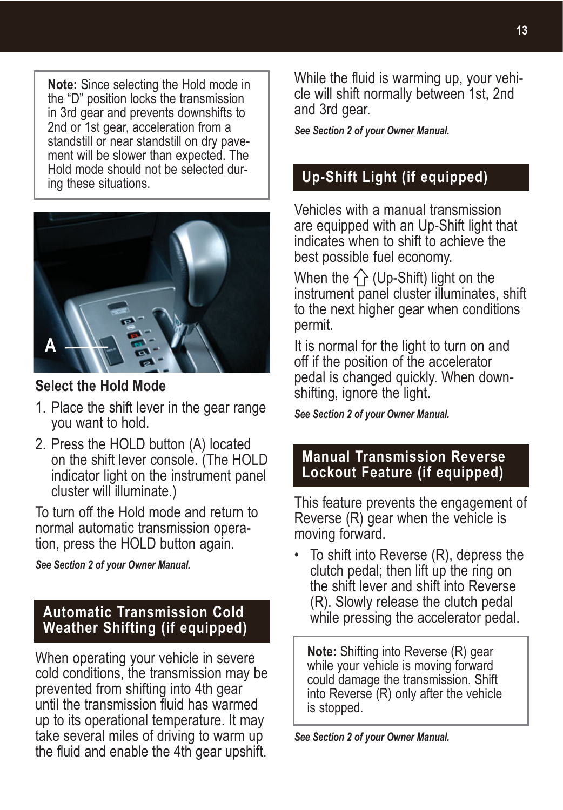**Note:** Since selecting the Hold mode in the "D" position locks the transmission in 3rd gear and prevents downshifts to 2nd or 1st gear, acceleration from a standstill or near standstill on dry pavement will be slower than expected. The Hold mode should not be selected during these situations.



#### **Select the Hold Mode**

- 1. Place the shift lever in the gear range you want to hold.
- 2. Press the HOLD button (A) located on the shift lever console. (The HOLD indicator light on the instrument panel cluster will illuminate.)

To turn off the Hold mode and return to normal automatic transmission operation, press the HOLD button again.

*See Section 2 of your Owner Manual.*

#### **Automatic Transmission Cold Weather Shifting (if equipped)**

When operating your vehicle in severe cold conditions, the transmission may be prevented from shifting into 4th gear until the transmission fluid has warmed up to its operational temperature. It may take several miles of driving to warm up the fluid and enable the 4th gear upshift.

While the fluid is warming up, your vehicle will shift normally between 1st, 2nd and 3rd gear.

*See Section 2 of your Owner Manual.*

## **Up-Shift Light (if equipped)**

Vehicles with a manual transmission are equipped with an Up-Shift light that indicates when to shift to achieve the best possible fuel economy.

When the  $\hat{\wedge}$  (Up-Shift) light on the instrument panel cluster illuminates, shift to the next higher gear when conditions permit.

It is normal for the light to turn on and off if the position of the accelerator pedal is changed quickly. When downshifting, ignore the light.

*See Section 2 of your Owner Manual.*

#### **Manual Transmission Reverse Lockout Feature (if equipped)**

This feature prevents the engagement of Reverse (R) gear when the vehicle is moving forward.

• To shift into Reverse (R), depress the clutch pedal; then lift up the ring on the shift lever and shift into Reverse (R). Slowly release the clutch pedal while pressing the accelerator pedal.

**Note:** Shifting into Reverse (R) gear while your vehicle is moving forward could damage the transmission. Shift into Reverse (R) only after the vehicle is stopped.

*See Section 2 of your Owner Manual.*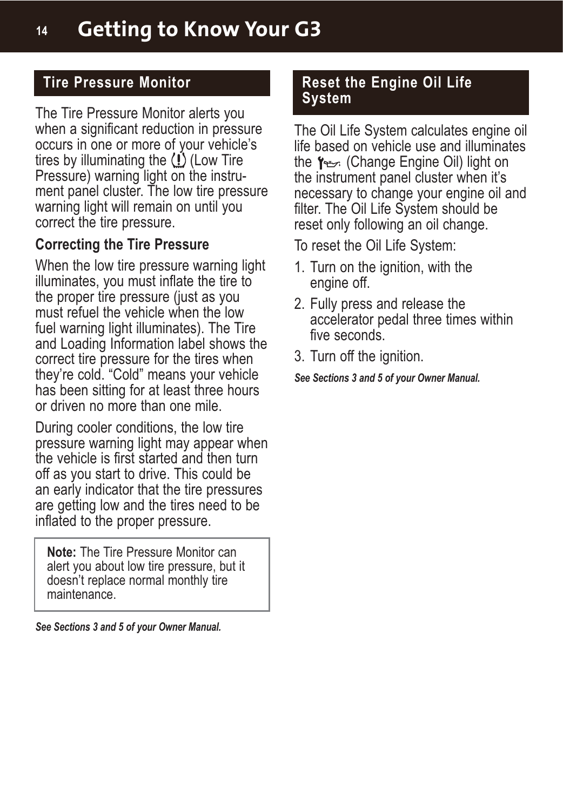## **Tire Pressure Monitor**

The Tire Pressure Monitor alerts you when a significant reduction in pressure occurs in one or more of your vehicle's tires by illuminating the  $\langle \cdot \rangle$  (Low Tire Pressure) warning light on the instrument panel cluster. The low tire pressure warning light will remain on until you correct the tire pressure.

#### **Correcting the Tire Pressure**

When the low tire pressure warning light illuminates, you must inflate the tire to the proper tire pressure (just as you must refuel the vehicle when the low fuel warning light illuminates). The Tire and Loading Information label shows the correct tire pressure for the tires when they're cold. "Cold" means your vehicle has been sitting for at least three hours or driven no more than one mile.

During cooler conditions, the low tire pressure warning light may appear when the vehicle is first started and then turn off as you start to drive. This could be an early indicator that the tire pressures are getting low and the tires need to be inflated to the proper pressure.

**Note:** The Tire Pressure Monitor can alert you about low tire pressure, but it doesn't replace normal monthly tire maintenance.

*See Sections 3 and 5 of your Owner Manual.*

#### **Reset the Engine Oil Life System**

The Oil Life System calculates engine oil life based on vehicle use and illuminates the Y<sub>the</sub> (Change Engine Oil) light on the instrument panel cluster when it's necessary to change your engine oil and filter. The Oil Life System should be reset only following an oil change.

To reset the Oil Life System:

- 1. Turn on the ignition, with the engine off.
- 2. Fully press and release the accelerator pedal three times within five seconds.
- 3. Turn off the ignition.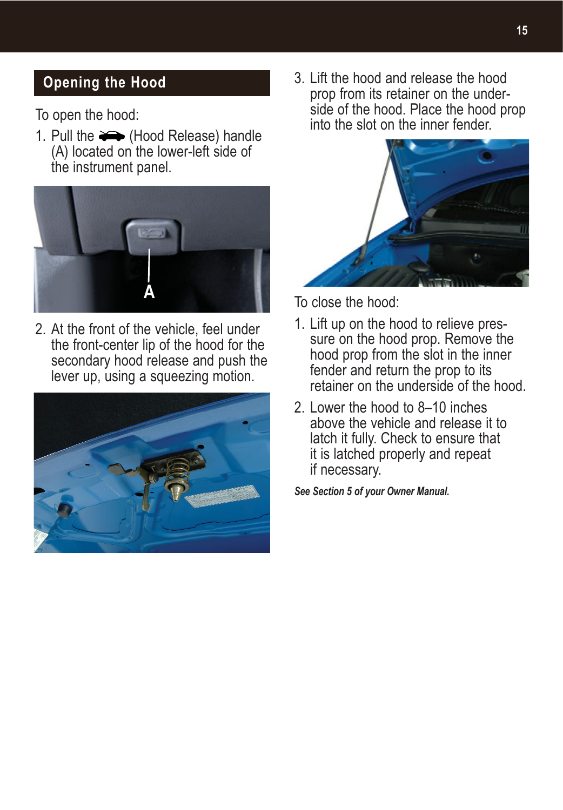## **Opening the Hood**

To open the hood:

1. Pull the  $\implies$  (Hood Release) handle (A) located on the lower-left side of the instrument panel.



2. At the front of the vehicle, feel under the front-center lip of the hood for the secondary hood release and push the lever up, using a squeezing motion.



3. Lift the hood and release the hood prop from its retainer on the underside of the hood. Place the hood prop into the slot on the inner fender.



To close the hood:

- 1. Lift up on the hood to relieve pressure on the hood prop. Remove the hood prop from the slot in the inner fender and return the prop to its retainer on the underside of the hood.
- 2. Lower the hood to 8–10 inches above the vehicle and release it to latch it fully. Check to ensure that it is latched properly and repeat if necessary.